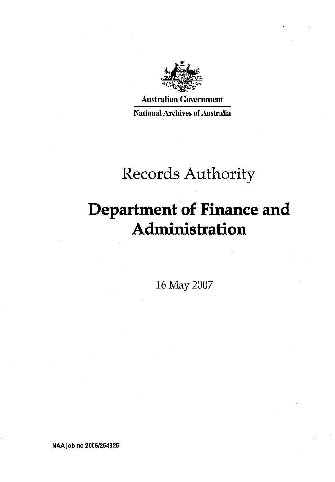

Australian Government

National Archives of Australia

# Records Authority

# **Department of Finance and Administration**

16 May 2007

NAA job no 20061254825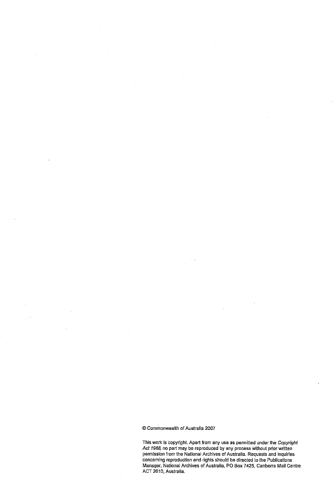#### © Commonwealth of Australia 2007

This work is copyright. Apart from any use as permitted under the Copyright Act 1968, no part may be reproduced by any process without prior written permission from the National Archives of Australia. Requests and inquiries concerning reproduction and rights should be directed to the Publications Manager, National Archives of Australia, PO Box 7425, Canberra Mall Centre ACT 2610, Australia.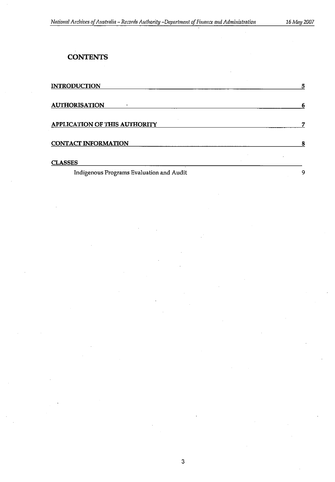#### **CONTENTS**

| <b>INTRODUCTION</b>                      | 5 |
|------------------------------------------|---|
|                                          |   |
| <b>AUTHORISATION</b>                     |   |
|                                          |   |
| <b>APPLICATION OF THIS AUTHORITY</b>     |   |
| <b>CONTACT INFORMATION</b>               | 8 |
| <b>CLASSES</b>                           |   |
| Indigenous Programs Evaluation and Audit | 9 |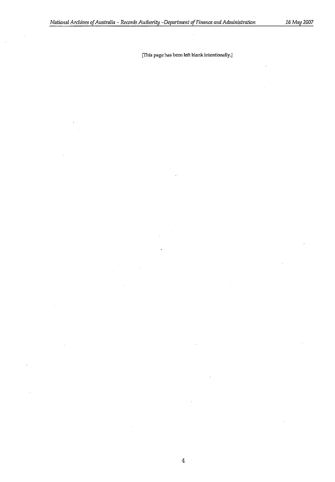[This page has been left blank intentionally.]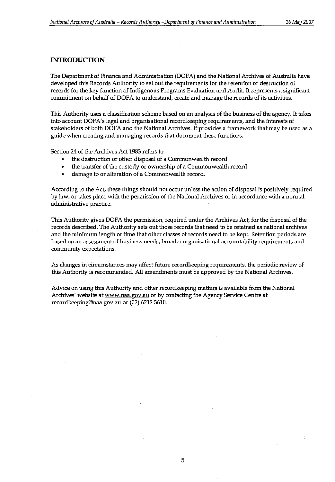#### **INTRODUCTION**

The Department of Finance and Administration (DOFA) and the National Archives of Australia have developed this Records Authority to set out the requirements for the retention or destruction of records for the key function of Indigenous Programs Evaluation and Audit It represents a significant commitment on behalf of DOFA to understand, create and manage the records of its activities.

This Authority uses a classification scheme based on an analysis of the business of the agency. It takes into account DOFA's legal and organisational recordkeeping requirements, and the interests of stakeholders of both DOFA and the National Archives. It provides a framework that may be used as a guide when creating and managing records that document these functions.

Section 24 of the Archives Act 1983 refers to

- the destruction or other disposal of a Commonwealth record
- the transfer of the custody or ownership of a Commonwealth record
- damage to or alteration of a Commonwealth record.

According to the Act, these things should not occur unless the action of disposal is positively required by law, or takes place with the permission of the National Archives or in accordance with a normal administrative practice.

This Authority gives DOFA the permission, required under the Archives Act, for the disposal of the records described. The Authority sets out those records that need to be retained as national archives and the minimum length of time that other classes of records need to be kept. Retention periods are based on an assessment of business needs, broader organisational accountability requirements and community expectations.

As changes in circumstances may affect future recordkeeping requirements, the periodic review of this Authority is recommended. All amendments must be approved by the National Archives.

Advice on using this Authority and other recordkeeping matters is available from the National Archives' website at www.naa.gov.au or by contacting the Agency Service Centre at recordkeeping@naa.gov.au or (02) 6212 3610.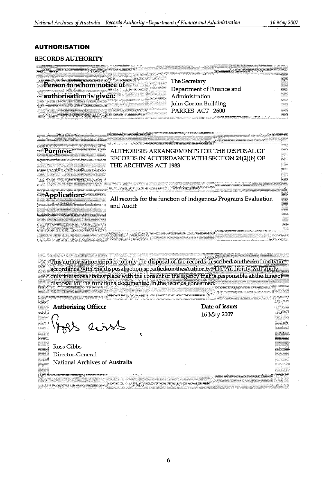#### **AUTHORISATION**

#### RECORDS AUTHORITY

The Secretary Person to whom notice of Department of Finance and authorisation is given: Administration John Gorton Building PARKES ACT 2600

**Purpose:** AUTHORISES ARRANGEMENTS FOR THE DISPOSAL OF RECORDS IN ACCORDANCE WITH SECTION 24(2)(b) OF THE ARCHIVES ACT 1983 **Application:** All records for the function of Indigenous Programs Evaluation and Audit

accordance with the disposal action specified on the Authority. The Authority will apply lace with the consent of the agency that is responsible at the  $\,$ The test of only the disposal of the records described on the Autority<br>sposal action specified on the Authority. The Authority will<br>lace with the consent of the agency that is responsible at the<br>ns documented in the record

.,  $\cdot$  ,  $\cdot$  ,  $\cdot$  ,  $\cdot$  ,  $\cdot$  ,  $\cdot$  ,  $\cdot$  ,  $\cdot$  ,  $\cdot$  ,  $\cdot$  ,  $\cdot$  ,  $\cdot$  ,  $\cdot$  ,  $\cdot$  ,  $\cdot$  ,  $\cdot$  ,  $\cdot$  ,  $\cdot$  ,  $\cdot$  ,  $\cdot$  ,  $\cdot$  ,  $\cdot$  ,  $\cdot$  ,  $\cdot$  ,  $\cdot$  ,  $\cdot$  ,  $\cdot$  ,  $\cdot$  ,  $\cdot$  ,  $\cdot$  ,  $\cdot$  ,

**Authorising Officer** 

lin

Ross Gibbs Director-General National Archives of Australia Date of issue: 16 May 2007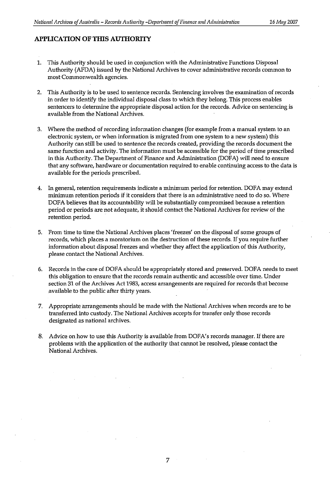#### **APPUCATIONOFTIllSAUTHORITY**

- 1. This Authority should be used in conjunction with the Administrative Functions Disposal Authority (AFDA) issued by the National Archives to cover administrative records common to most Commonwealth agencies.
- 2. This Authority is to be used to sentence records. Sentencing involves the examination of records in order to identify the individual disposal class to which they belong. This process enables sentencers to determine the appropriate disposal action for the records. Advice on sentencing is available from the National Archives.
- 3. Where the method of recording information changes (for example from a manual system to an electronic system, or when information is migrated from one system to a new system) this Authority can still be used to sentence the records created, providing the records document the same function and activity. The information must be accessible for the period of time prescribed in this Authority. The Department of Finance and Administration (DOFA) will need to ensure that any software, hardware or documentation required to enable continuing access to the data is available for the periods prescribed.
- 4. In general, retention requirements indicate a minimum period for retention. DOFA may extend minimum retention periods if it considers that there is an administrative need to do so. Where DOFA believes that its accountability will be substantially compromised because a retention period or periods are not adequate, it should contact the National Archives for review of the retention period.
- 5. From time to time the National Archives places 'freezes' on the disposal of some groups of records, which places a moratorium on the destruction of these records. If you require further information about disposal freezes and whether they affect the application of this Authority, please contact the National Archives.
- 6. Records in the care of DOFA should be appropriately stored and preserved. DOFA needs to meet this obligation to ensure that the records remaln authentic and accessible over time. Under section 31 of the Archives Act 1983, access arrangements are required for records that become available to the public after thirty years.
- 7. Appropriate arrangements should be made with the National Archives when records are to be transferred into custody. The National Archives accepts for transfer only those records designated as national archives.
- 8. Advice on how to use this Authority is available from DOFA's records manager. If there are problems with the application of the authority that cannot be resolved, please contact the National Archives.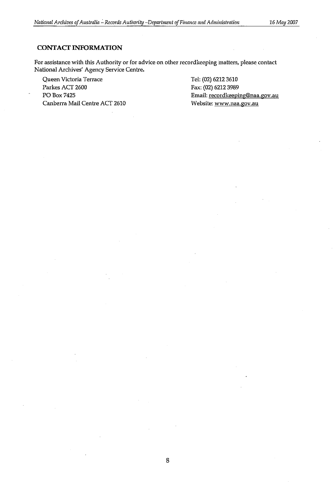#### **CONTACf INFORMATION**

For assistance with this Authority or for advice on other recordkeeping matters, please contact National Archives' Agency Service Centre.

Queen Victoria Terrace Tel: (02) 6212 3610 Parkes ACT 2600 Fax: (02) 6212 3989 Canberra Mail Centre ACT 2610 Website: www.naa.gov.au

PO Box 7425 **Email:** recordkeeping@naa.gov.au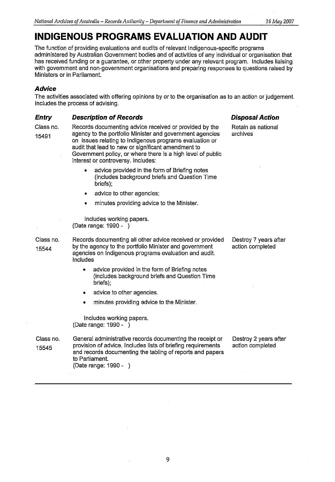The function of providing evaluations and audits of relevant Indigenous-specific programs administered by Australian Government bodies and of activities of any individual or organisation that has received funding or a guarantee, or other property under any relevant program. Includes liaising with government and non-government organisations and preparing responses to questions raised by Ministers or in Parliament.

#### **Advice**

The activities associated with offering opinions by or to the organisation as to an action or judgement. Includes the process of advising.

| Entry              | <b>Description of Records</b>                                                                                                                                                                                                                                                                                                            | <b>Disposal Action</b>                    |
|--------------------|------------------------------------------------------------------------------------------------------------------------------------------------------------------------------------------------------------------------------------------------------------------------------------------------------------------------------------------|-------------------------------------------|
| Class no.<br>15491 | Records documenting advice received or provided by the<br>agency to the portfolio Minister and government agencies<br>on issues relating to Indigenous programs evaluation or<br>audit that lead to new or significant amendment to<br>Government policy, or where there is a high level of public<br>interest or controversy. Includes: | Retain as national<br>archives            |
|                    | advice provided in the form of Briefing notes<br>(includes background briefs and Question Time<br>briefs);                                                                                                                                                                                                                               |                                           |
|                    | advice to other agencies;                                                                                                                                                                                                                                                                                                                |                                           |
|                    | minutes providing advice to the Minister.                                                                                                                                                                                                                                                                                                |                                           |
|                    | Includes working papers.<br>(Date range: 1990 - )                                                                                                                                                                                                                                                                                        |                                           |
| Class no.<br>15544 | Records documenting all other advice received or provided<br>by the agency to the portfolio Minister and government<br>agencies on Indigenous programs evaluation and audit.<br>Includes                                                                                                                                                 | Destroy 7 years after<br>action completed |
|                    | advice provided in the form of Briefing notes<br>(includes background briefs and Question Time<br>briefs);                                                                                                                                                                                                                               |                                           |
|                    | advice to other agencies.<br>۰                                                                                                                                                                                                                                                                                                           |                                           |
|                    | minutes providing advice to the Minister.<br>٠                                                                                                                                                                                                                                                                                           |                                           |
|                    | Includes working papers.<br>(Date range: 1990 - )                                                                                                                                                                                                                                                                                        |                                           |
| Class no.<br>15545 | General administrative records documenting the receipt or<br>provision of advice. Includes lists of briefing requirements<br>and records documenting the tabling of reports and papers<br>to Parliament.<br>(Date range: 1990 - )                                                                                                        | Destroy 2 years after<br>action completed |

 $\sim$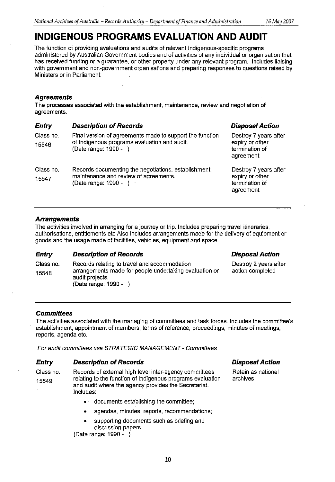The function of providing evaluations and audits of relevant Indigenous-specific programs administered by Australian Government bodies and of activities of any individual or organisation that has received funding or a guarantee, or other property under any relevant program. Includes liaising with government and non-government organisations and preparing responses to questions raised by Ministers or in Parliament.

#### **Agreements**

The processes associated with the establishment, maintenance, review and negotiation of agreements.

| <b>Entry</b>       | <b>Description of Records</b>                                                                                                     | <b>Disposal Action</b>                                                  |
|--------------------|-----------------------------------------------------------------------------------------------------------------------------------|-------------------------------------------------------------------------|
| Class no.<br>15546 | Final version of agreements made to support the function<br>of Indigenous programs evaluation and audit.<br>(Date range: 1990 - ) | Destroy 7 years after<br>expiry or other<br>termination of<br>agreement |
| Class no.<br>15547 | Records documenting the negotiations, establishment,<br>maintenance and review of agreements.<br>(Date range: 1990 - )            | Destroy 7 years after<br>expiry or other<br>termination of<br>agreement |

#### **Arrangements**

The activities involved in arranging for a journey or trip. Includes preparing travel itineraries, authorisations, entitlements etc Also includes arrangements made for the delivery of equipment or goods and the usage made of facilities, vehicles, equipment and space.

#### **Entry Description of Records Disposal Action**

Class no. 15548 Records relating to travel and accommodation arrangements made for people undertaking evaluation or audit projects. (Date range: 1990 - )

Destroy 2 years after action completed

#### **Committees**

The activities associated with the managing of committees and task forces. Includes the committee's establishment, appointment of members, terms of reference, proceedings, minutes of meetings, reports, agenda etc.

For audit committees use STRATEGIC MANAGEMENT - Committees

| Entry | <b>Description of Records</b> |  |
|-------|-------------------------------|--|
|       |                               |  |

Class no. Records of external high level inter-agency committees Retain as national relating to the function of Indigenous programs evaluation archives 15549 and audit where the agency provides the Secretariat. Includes:

- documents establishing the committee;
- agendas, minutes, reports, recommendations;
- supporting documents such as briefing and discussion papers.

(Date range: 1990 - )

#### **Disposal Action**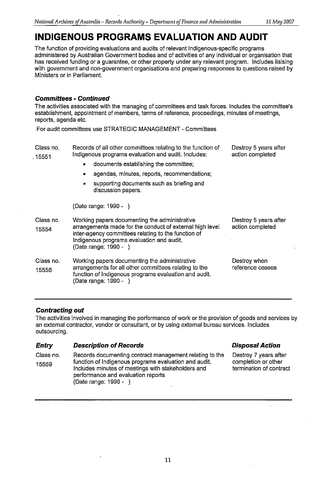The function of providing evaluations and audits of relevant Indigenous-specific programs administered by Australian Government bodies and of activities of any individual or organisation that has received funding or a guarantee, or other property under any relevant program. Includes liaising with government and non-government organisations and preparing responses to questions raised by Ministers or in Parliament.

#### **Committees· Continued**

The activities associated with the managing of committees and task forces. Includes the committee's establishment, appointment of members, terms of reference, proceedings, minutes of meetings, reports, agenda etc.

For audit committees use STRATEGIC MANAGEMENT - Committees

| Class no.<br>. 15551 | Records of all other committees relating to the function of<br>Indigenous programs evaluation and audit. Includes:<br>documents establishing the committee;<br>٠<br>agendas, minutes, reports, recommendations;<br>supporting documents such as briefing and<br>discussion papers. | Destroy 5 years after<br>action completed |
|----------------------|------------------------------------------------------------------------------------------------------------------------------------------------------------------------------------------------------------------------------------------------------------------------------------|-------------------------------------------|
| Class no.<br>15554   | (Date range: 1990 - )<br>Working papers documenting the administrative<br>arrangements made for the conduct of external high level<br>inter-agency committees relating to the function of<br>Indigenous programs evaluation and audit.<br>(Date range: 1990 - )                    | Destroy 5 years after<br>action completed |
| Class no.<br>15558   | Working papers documenting the administrative<br>arrangements for all other committees relating to the<br>function of Indigenous programs evaluation and audit.<br>(Date range: 1990 - )                                                                                           | Destroy when<br>reference ceases          |

### **Contracting out**

The activities involved in managing the performance of work or the provision of goods and services by an external contractor, vendor or consultant, or by using external bureau services. Includes outsourcing.

| Entry     | <b>Description of Records</b>                                                                                                                     |  |
|-----------|---------------------------------------------------------------------------------------------------------------------------------------------------|--|
| Class no. | Records documenting contract management relating to the                                                                                           |  |
| 15559     | function of Indigenous programs evaluation and audit.<br>Includes minutes of meetings with stakeholders and<br>performance and evaluation reports |  |
|           | (Date range: 1990 - )                                                                                                                             |  |

### **Entry Description ofRecords Disposal Action**

Destroy 7 years after completion or other ermination of contract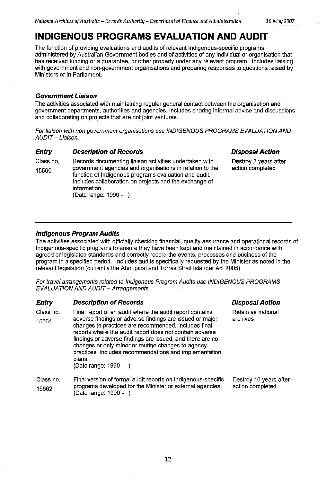The function of providing evaluations and audits of relevant Indigenous-specific programs administered by Australian Government bodies and of activities of any individuai or organisation that has received funding or a guarantee, or other property under any reievant program. Includes liaising with government and non-government organisations and preparing responses to questions raised by Ministers or in Parliament.

#### **Government Liaison**

The activities associated with maintaining reguiar general contact between the organisation and government departments, authorities and agencies. Includes sharing informal advice and discussions and collaborating on projects that are not joint ventures.

For liaison with non government organisations use INDIGENOUS PROGRAMS EVALUATION AND AUDIT- Liaison.

#### **Entry Description of Records Disposal Action**

15560 Class no. Records documenting liaison activities undertaken with Destroy 2 years after Class no.  $\frac{1}{15}$  action completed government agencies and organisations in relation to the function of Indigenous programs evaluation and audit. Includes collaboration on projects and the exchange of information. (Date range: 1990 - )

archives

#### **Indigenous Program Audits**

The activities associated with officially checking financial, quality assurance and operational records of Indigenous-specific programs to ensure they have been kept and maintained in accordance with agreed or legislated standards and correctly record the events, processes and business of the program in a specified period. Includes audits specifically requested by the Minister as noted in the relevant legislation (currently the Aboriginal and Torres Strait Islander Act 2005).

For travel arrangements related to Indigenous Program Audits use INDIGENOUS PROGRAMS EVALUATION AND AUDIT - Arrangements.

#### **Entry Description of Records Disposal Action**

Class no. Final report of an audit where the audit report contains Retain as national 15561 adverse findings or adverse findings are issued or major changes to practices are recommended. Includes final reports where the audit report does not contain adverse findings or adverse findings are issued, and there are no changes or only minor or routine changes to agency practices. Includes recommendations and implementation plans.

(Date range: 1990 - )

Class no. Final version of formal audit reports on Indigenous-specific Destroy 10 years after 15562 programs developed for the Minister or external agencies. (Date range: 1990 - ) action completed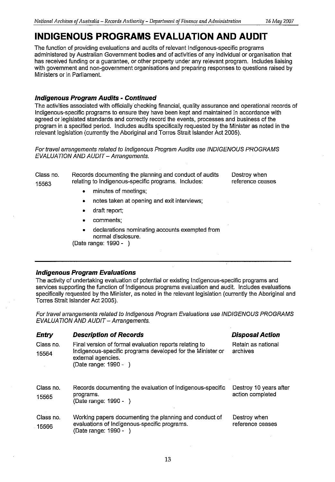The function ot providing evaluations and audits ot relevant Indiqenous-speclflc programs administered by Australian Government bodies and of activities of any individual or organisation that has received funding or a quarantee, or other property under any relevant program. Includes liaising with government and non-government organisations and preparing responses to questions raised by Ministers or in Parliament.

#### **Indigenous Program Audits - Continued**

The activities associated with officially checking financial, quality assurance and operational records of lndlqenous-speclfic programs to ensure they have been kept and maintained in accordance with agreed or legislated standards and correctly record the events, processes and business of the program in a specified period. Includes audits specifically requested by the Minister as noted in the relevant legislation (currently the Aboriqinal and Torres Strait Islander Act 2005).

For travel arrangements related to Indigenous Program Audits use INDIGENOUS PROGRAMS EVALUATION AND AUDIT - Arrangements.

| Class no.<br>15563 | Records documenting the planning and conduct of audits<br>relating to Indigenous-specific programs. Includes: | Destroy when<br>reference ceases |
|--------------------|---------------------------------------------------------------------------------------------------------------|----------------------------------|
|                    | minutes of meetings;<br>$\bullet$                                                                             |                                  |
|                    | notes taken at opening and exit interviews;<br>$\bullet$                                                      |                                  |
|                    | draft report;<br>$\bullet$                                                                                    |                                  |
|                    |                                                                                                               |                                  |

- comments:
- declarations nominating accounts exempted from normal disclosure,

(Date range: 1990 - )

#### **Indigenous Program Evaluations**

The activity of undertaking evaluation of potential or existing Indigenous-specific programs and services supporting the function of Indigenous programs evaluation and audit. Includes evaluations specifically requested by the Minister, as noted in the relevant leqislation (currently the Aboriqinal and Torres Strait Islander Act 2005).

For travel arrangements related to Indigenous Program Evaluations use INDIGENOUS PROGRAMS  $EVALUATION AND AUDIT - Arrangements.$ 

| <b>Entry</b><br>Class no.<br>15564 | <b>Description of Records</b><br>Final version of formal evaluation reports relating to<br>Indigenous-specific programs developed for the Minister or<br>external agencies.<br>(Date range: 1990 - ) | <b>Disposal Action</b><br>Retain as national<br>archives |
|------------------------------------|------------------------------------------------------------------------------------------------------------------------------------------------------------------------------------------------------|----------------------------------------------------------|
| Class no.<br>15565                 | Records documenting the evaluation of Indigenous-specific<br>programs.<br>(Date range: 1990 - )                                                                                                      | Destroy 10 years after<br>action completed               |
| Class no.<br>15566                 | Working papers documenting the planning and conduct of<br>evaluations of Indigenous-specific programs.<br>(Date range: 1990 -                                                                        | Destroy when<br>reference ceases                         |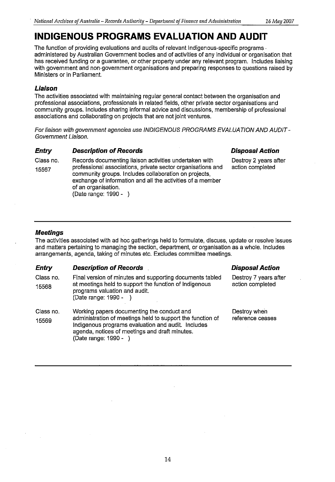The function of providing evaluations and audits of relevant Indigenous-specific programs. administered by Australian Government bodies and of activities of any individual or organisation that has received funding or a guarantee, or other property under any relevant program. Includes liaising with government and non-government organisations and preparing responses to questions raised by Ministers or in Parliament.

#### **Liaison**

The activities associated with maintaining regular general contact between the organisation and professional associations, professionals in related fields, other private sector organisations and community groups. Includes sharing informal advice and discussions, membership of professional associations and collaborating on projects that are not joint ventures.

For liaison with government agencies use INDIGENOUS PROGRAMS EVALUATION AND AUDIT -Government Liaison.

#### **Entry Description ofRecords Disposal Action**

Class no. 15567

Records documenting liaison activities undertaken with professional associations, private sector organisations and community groups. Includes collaboration on projects, exchange of information and all the activities of a member of an organisation. (Date range: 1990 - )

Destroy 2 years after action completed

#### **Meetings**

The activities associated with ad hoc gatherings held to formulate, discuss, update or resolve issues and matters pertaining to managing the section, department, or organisation as a whole. Includes arrangements, agenda, taking of minutes etc. Excludes committee meetings.

| <b>Entry</b>       | <b>Description of Records</b>                                                                                                                                                                                                             | <b>Disposal Action</b>                    |
|--------------------|-------------------------------------------------------------------------------------------------------------------------------------------------------------------------------------------------------------------------------------------|-------------------------------------------|
| Class no.<br>15568 | Final version of minutes and supporting documents tabled<br>at meetings held to support the function of Indigenous<br>programs valuation and audit.<br>(Date range: 1990 -                                                                | Destroy 7 years after<br>action completed |
| Class no.<br>15569 | Working papers documenting the conduct and<br>administration of meetings held to support the function of<br>Indigenous programs evaluation and audit. Includes<br>agenda, notices of meetings and draft minutes.<br>(Date range: 1990 - ) | Destroy when<br>reference ceases          |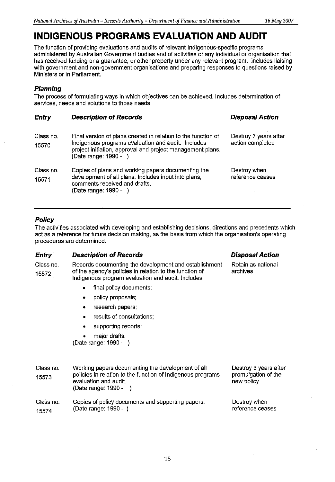The function of providing evaluations and audits of relevant Indigenous-specific programs administered by Australian Government bodies and of activities of any individual or organisation that has received funding or a guarantee, or other property under any relevant program. Inciudes liaising with government and non-government organisations and preparing responses to questions raised by Ministers or in Parliament.

#### **Planning**

The process of formulating ways in which objectives can be achieved. Includes determination of services, needs and soiutions to those needs

| <b>Entry</b>       | <b>Description of Records</b>                                                                                                                                                                              | <b>Disposal Action</b>                    |
|--------------------|------------------------------------------------------------------------------------------------------------------------------------------------------------------------------------------------------------|-------------------------------------------|
| Class no.<br>15570 | Final version of plans created in relation to the function of<br>Indigenous programs evaluation and audit. Includes<br>project initiation, approval and project management plans.<br>(Date range: 1990 - ) | Destroy 7 years after<br>action completed |
| Class no.<br>15571 | Copies of plans and working papers documenting the<br>development of all plans. Includes input into plans,<br>comments received and drafts.<br>(Date range: 1990 - )                                       | Destroy when<br>reference ceases          |

#### **Policy**

The activities associated with developing and establishing decisions, directions and precedents which act as a reference for future decision making, as the basis from which the organisation's operating procedures are determined.

#### **Entry Description ofRecords**

Class no. 15572

Records documenting the development and establishment of the agency's policies in relation to the function of Indigenous program evaluation and audit. includes:

- final policy documents;
- policy proposals;
- research papers;
- results of consultations;
- supporting reports;
- major drafts.

(Date range: 1990 - )

| Class no.<br>15573 | Working papers documenting the development of all<br>policies in relation to the function of Indigenous programs<br>evaluation and audit.<br>(Date range: 1990 - | Destroy 3 years after<br>promulgation of the<br>new policy |
|--------------------|------------------------------------------------------------------------------------------------------------------------------------------------------------------|------------------------------------------------------------|
| Class no.          | Copies of policy documents and supporting papers.                                                                                                                | Destroy when                                               |
| 15574              | (Date range: 1990 - )                                                                                                                                            | reference ceases                                           |

### **Disposal Action**

Retain as national archives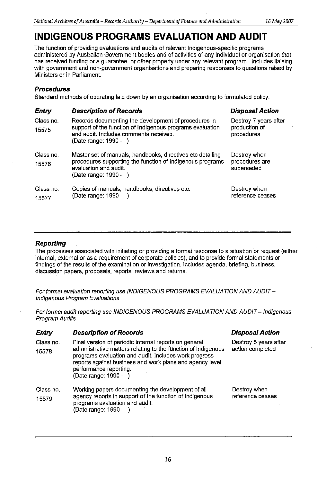The function of providing evaluations and audits of relevant Indigenous-specific programs administered by Australian Government bodies and of activities of any individual or organisation that has received funding or a guarantee, or other property under any relevant program. Includes liaising with government and non-government organisations and preparing responses to questions raised by Ministers or in Parliament.

### **Procedures**

Standard methods of operating laid down by an organisation according to formulated policy.

| <b>Entry</b><br>Class no.<br>15575 | <b>Description of Records</b><br>Records documenting the development of procedures in<br>support of the function of Indigenous programs evaluation<br>and audit. Includes comments received.<br>(Date range: 1990 - ) | <b>Disposal Action</b><br>Destroy 7 years after<br>production of<br>procedures |
|------------------------------------|-----------------------------------------------------------------------------------------------------------------------------------------------------------------------------------------------------------------------|--------------------------------------------------------------------------------|
| Class no.<br>15576                 | Master set of manuals, handbooks, directives etc detailing<br>procedures supporting the function of Indigenous programs<br>evaluation and audit.<br>(Date range: 1990 - )                                             | Destroy when<br>procedures are<br>superseded                                   |
| Class no.<br>15577                 | Copies of manuals, handbooks, directives etc.<br>(Date range: 1990 - )                                                                                                                                                | Destroy when<br>reference ceases                                               |

#### **Reporting**

The processes associated with initiating or providing a formal response to a situation or request (either internal, external or as a requirement of corporate policies), and to provide formal statements or findings of the results of the examination or investigation. Includes agenda, briefing, business, discussion papers, proposals, reports, reviews and returns.

For formal evaluation reporting use INDIGENOUS PROGRAMS EVALUATION AND AUDIT-Indigenous Program Evaluations

For formal audit reporting use INDIGENOUS PROGRAMS EVALUATION AND AUDIT - Indigenous Program Audits

| <b>Entry</b>       | <b>Description of Records</b>                                                                                                                                                                                                                                                                | Disposal Action                           |
|--------------------|----------------------------------------------------------------------------------------------------------------------------------------------------------------------------------------------------------------------------------------------------------------------------------------------|-------------------------------------------|
| Class no.<br>15578 | Final version of periodic internal reports on general<br>administrative matters relating to the function of Indigenous<br>programs evaluation and audit. Includes work progress<br>reports against business and work plans and agency level<br>performance reporting.<br>(Date range: 1990 - | Destroy 5 years after<br>action completed |
| Class no.<br>15579 | Working papers documenting the development of all<br>agency reports in support of the function of Indigenous<br>programs evaluation and audit.<br>(Date range: 1990 -                                                                                                                        | Destroy when<br>reference ceases          |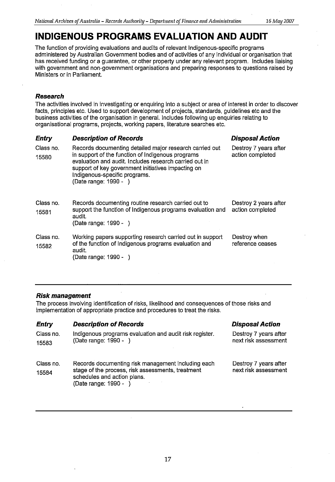The function of providing evaluations and audits of relevant Indigenous-specific programs administered by Australian Government bodies and of activities of any individual or organisation that has received funding or a guarantee, or other property under any relevant program. Includes liaising with government and non-government organisations and preparing responses to questions raised by Ministers or in Parliament.

#### **Research**

The activities involved in investigating or enquiring into a subject or area of interest in order to discover facts, principies etc. Used to support deveiopment of projects, standards, guidelines etc and the business activities of the organisation in general. Includes following up enquiries relating to organisationai programs, projects, working papers, literature searches etc.

| <b>Entry</b>       | <b>Description of Records</b>                                                                                                                                                                                                                                                          | <b>Disposal Action</b>                    |
|--------------------|----------------------------------------------------------------------------------------------------------------------------------------------------------------------------------------------------------------------------------------------------------------------------------------|-------------------------------------------|
| Class no.<br>15580 | Records documenting detailed major research carried out<br>in support of the function of Indigenous programs<br>evaluation and audit. Includes research carried out in<br>support of key government initiatives impacting on<br>Indigenous-specific programs.<br>(Date range: 1990 - ) | Destroy 7 years after<br>action completed |
| Class no.<br>15581 | Records documenting routine research carried out to<br>support the function of Indigenous programs evaluation and<br>audit.<br>(Date range: 1990 - )                                                                                                                                   | Destroy 2 years after<br>action completed |
| Class no.<br>15582 | Working papers supporting research carried out in support<br>of the function of Indigenous programs evaluation and<br>audit.<br>(Date range: 1990 - )                                                                                                                                  | Destroy when<br>reference ceases          |

#### **Risk management**

The process invoiving identification of risks, likelihood and consequences of those risks and implementation of appropriate practice and procedures to treat the risks.

| <b>Entry</b>       | <b>Description of Records</b>                                                                                                                                   | <b>Disposal Action</b>                        |
|--------------------|-----------------------------------------------------------------------------------------------------------------------------------------------------------------|-----------------------------------------------|
| Class no.<br>15583 | Indigenous programs evaluation and audit risk register.<br>(Date range: 1990 - )                                                                                | Destroy 7 years after<br>next risk assessment |
| Class no.<br>15584 | Records documenting risk management including each<br>stage of the process, risk assessments, treatment<br>schedules and action plans.<br>(Date range: 1990 - ) | Destroy 7 years after<br>next risk assessment |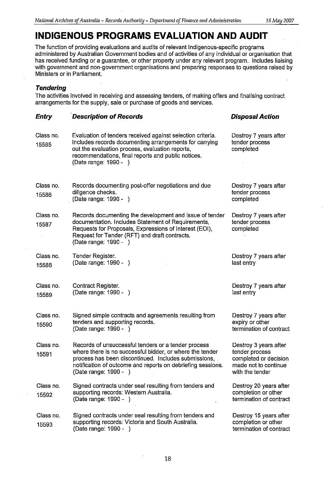The function of providing evaluations and audits of relevant Indigenous-specific programs administered by Australian Government bodies and of activities of any individuai or organisation that has received funding or a guarantee, or other property under any relevant program. Includes liaising with government and non-government organisations and preparing responses to questions raised by Ministers or in Parliament.

#### **Tendering**

The activities involved in receiving and assessing tenders, of making offers and finalising contract arrangements for the supply, sale or purchase of goods and services.

| <b>Entry</b>       | <b>Description of Records</b>                                                                                                                                                                                                                                     | <b>Disposal Action</b>                                                                                      |
|--------------------|-------------------------------------------------------------------------------------------------------------------------------------------------------------------------------------------------------------------------------------------------------------------|-------------------------------------------------------------------------------------------------------------|
| Class no.<br>15585 | Evaluation of tenders received against selection criteria.<br>Includes records documenting arrangements for carrying<br>out the evaluation process, evaluation reports,<br>recommendations, final reports and public notices.<br>(Date range: 1990 - )            | Destroy 7 years after<br>tender process<br>completed                                                        |
| Class no.<br>15586 | Records documenting post-offer negotiations and due<br>diligence checks.<br>(Date range: 1990 - )                                                                                                                                                                 | Destroy 7 years after<br>tender process<br>completed                                                        |
| Class no.<br>15587 | Records documenting the development and issue of tender<br>documentation. Includes Statement of Requirements,<br>Requests for Proposals, Expressions of Interest (EOI),<br>Request for Tender (RFT) and draft contracts.<br>(Date range: 1990 - )                 | Destroy 7 years after<br>tender process<br>completed                                                        |
| Class no.<br>15588 | Tender Register.<br>(Date range: 1990 - )                                                                                                                                                                                                                         | Destroy 7 years after<br>last entry                                                                         |
| Class no.<br>15589 | Contract Register.<br>(Date range: 1990 - )                                                                                                                                                                                                                       | Destroy 7 years after<br>last entry                                                                         |
| Class no.<br>15590 | Signed simple contracts and agreements resulting from<br>tenders and supporting records.<br>(Date range: 1990 - )                                                                                                                                                 | Destroy 7 years after<br>expiry or other<br>termination of contract                                         |
| Class no.<br>15591 | Records of unsuccessful tenders or a tender process<br>where there is no successful bidder, or where the tender<br>process has been discontinued. Includes submissions, a<br>notification of outcome and reports on debriefing sessions.<br>(Date range: 1990 - ) | Destroy 3 years after<br>tender process<br>completed or decision<br>made not to continue<br>with the tender |
| Class no.<br>15592 | Signed contracts under seal resulting from tenders and<br>supporting records: Western Australia.<br>(Date range: 1990 - )                                                                                                                                         | Destroy 20 years after<br>completion or other<br>termination of contract                                    |
| Class no.<br>15593 | Signed contracts under seal resulting from tenders and<br>supporting records: Victoria and South Australia.<br>(Date range: 1990 - )                                                                                                                              | Destroy 15 years after<br>completion or other<br>termination of contract                                    |